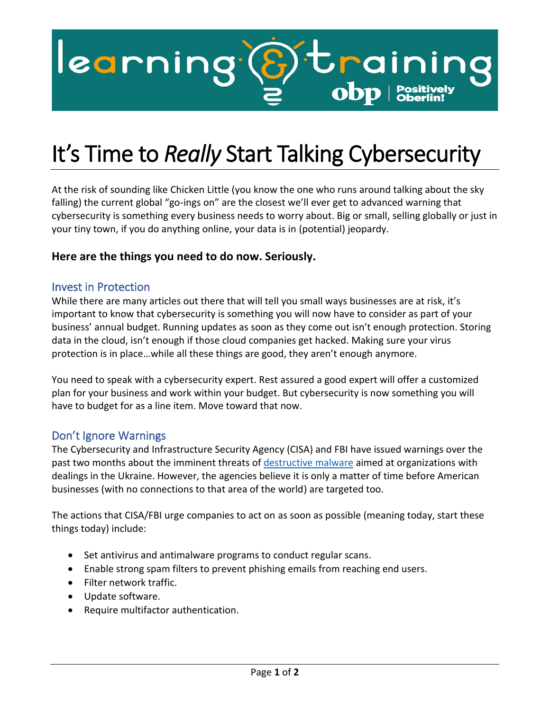

## It's Time to *Really* Start Talking Cybersecurity

At the risk of sounding like Chicken Little (you know the one who runs around talking about the sky falling) the current global "go-ings on" are the closest we'll ever get to advanced warning that cybersecurity is something every business needs to worry about. Big or small, selling globally or just in your tiny town, if you do anything online, your data is in (potential) jeopardy.

## **Here are the things you need to do now. Seriously.**

## Invest in Protection

While there are many articles out there that will tell you small ways businesses are at risk, it's important to know that cybersecurity is something you will now have to consider as part of your business' annual budget. Running updates as soon as they come out isn't enough protection. Storing data in the cloud, isn't enough if those cloud companies get hacked. Making sure your virus protection is in place…while all these things are good, they aren't enough anymore.

You need to speak with a cybersecurity expert. Rest assured a good expert will offer a customized plan for your business and work within your budget. But cybersecurity is now something you will have to budget for as a line item. Move toward that now.

## Don't Ignore Warnings

The Cybersecurity and Infrastructure Security Agency (CISA) and FBI have issued warnings over the past two months about the imminent threats of [destructive malware](mailto:https://www.cisa.gov/uscert/ncas/alerts/aa22-057a) aimed at organizations with dealings in the Ukraine. However, the agencies believe it is only a matter of time before American businesses (with no connections to that area of the world) are targeted too.

The actions that CISA/FBI urge companies to act on as soon as possible (meaning today, start these things today) include:

- Set antivirus and antimalware programs to conduct regular scans.
- Enable strong spam filters to prevent phishing emails from reaching end users.
- Filter network traffic.
- Update software.
- Require multifactor authentication.